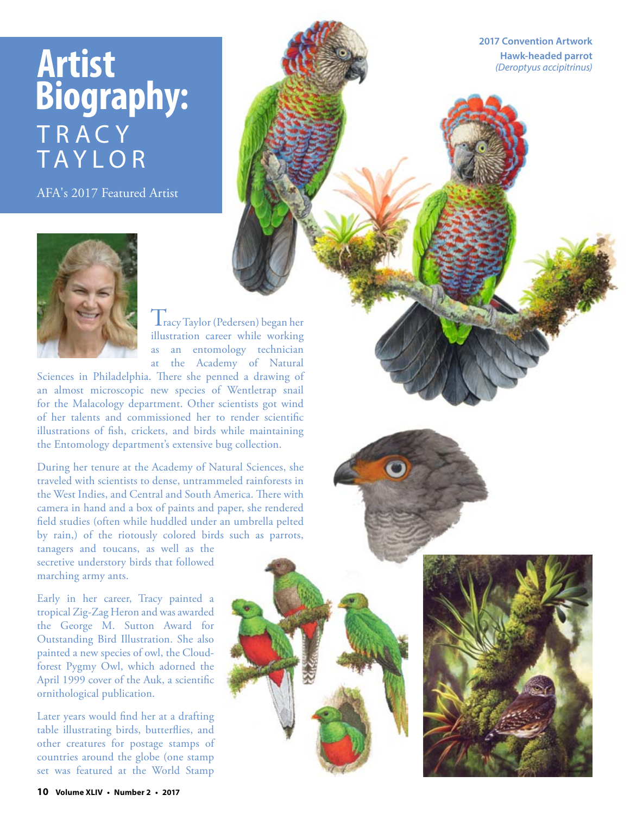## **Artist Biography:** T R A C Y TAYLOR

AFA's 2017 Featured Artist



Tracy Taylor (Pedersen) began her illustration career while working as an entomology technician at the Academy of Natural

Sciences in Philadelphia. There she penned a drawing of an almost microscopic new species of Wentletrap snail for the Malacology department. Other scientists got wind of her talents and commissioned her to render scientifc illustrations of fsh, crickets, and birds while maintaining the Entomology department's extensive bug collection.

During her tenure at the Academy of Natural Sciences, she traveled with scientists to dense, untrammeled rainforests in the West Indies, and Central and South America. There with camera in hand and a box of paints and paper, she rendered feld studies (often while huddled under an umbrella pelted by rain,) of the riotously colored birds such as parrots,

tanagers and toucans, as well as the secretive understory birds that followed marching army ants.

Early in her career, Tracy painted a tropical Zig-Zag Heron and was awarded the George M. Sutton Award for Outstanding Bird Illustration. She also painted a new species of owl, the Cloudforest Pygmy Owl, which adorned the April 1999 cover of the Auk, a scientifc ornithological publication.

Later years would fnd her at a drafting table illustrating birds, butterfies, and other creatures for postage stamps of countries around the globe (one stamp set was featured at the World Stamp

**2017 Convention Artwork Hawk-headed parrot** *(Deroptyus accipitrinus)*